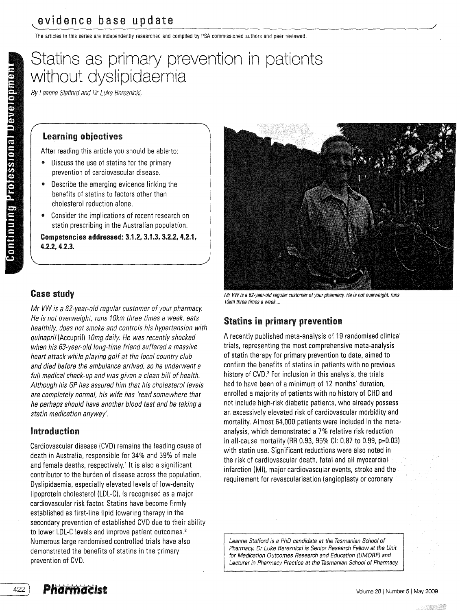The articles in this series are independently researched and compiled by PSA commissioned authors and peer reviewed,

# Statins as primary prevention in patients without dyslipidaemia

By Leanne Stafford and Dr Luke Bereznicki,

#### Learning objectives

After reading this article you should be able to:

- Discuss the use of statins for the primary prevention of cardiovascular disease.
- Describe the emerging evidence linking the benefits of statins to factors other than cholesterol reduction alone,
- Consider the implications of recent research on statin prescribing in the Australian population.

Competencies addressed: 3.1.2, 3.1.3, 3.2.2. 4.2.1. 4.2.2. 4.2.3.

## Case study

Mr VW is a 52-year-old regular customer of your pharmacy. He is not overweight, runs 10km three times a week, eats healthily, does not smoke and controls his hypertension with quinapril (Accupril) 10mg daily. He was recently shocked when his 53-year-old long-time friend suffered a massive heart attack while playing golf at the local country club and died before the ambulance arrived, so he underwent a full medical check-up and was given a clean bill of health. Although his GP has assured him that his cholesterol levels are completely normal, his wife has 'read somewhere that he perhaps should have another blood test and be taking a statin medication anyway'.

## Introduction

Cardiovascular disease (CVD) remains the leading cause of death in Australia, responsible for 34% and 39% of male and female deaths. respectively.' It is also a significant contributor to the burden of disease across the population, Dyslipidaemia, especially elevated levels of low-density lipoprotein cholesterol (LDL-C), is recognised as a major cardiovascular risk factor. Statins have become firmly established as first-line lipid lowering therapy in the secondary prevention of established CVD due to their ability to lower LDL-C levels and improve patient outcomes. <sup>2</sup> Numerous large randomised controlled trials have also demonstrated the benefits of statins in the primary prevention of CVD.



Mr VW is a 62-year-old regular customer of your pharmacy. He is not overweight, runs  $10$ km three times a week  $\ldots$ 

# Statins in primary prevention

A recently published meta-analysis of 19 randomised clinical trials. representing the most comprehensive meta-analysis of statin therapy for primary prevention to date. aimed to confirm the benefits of statins in patients with no previous history of CVD.<sup>3</sup> For inclusion in this analysis, the trials had to have been of a minimum of 12 months' duration, enrolled a majority of patients with no history of CHD and not include high-risk diabetic patients. who already possess an excessively elevated risk of cardiovascular morbidity and mortality. Almost 64,000 patients were included in the metaanalysis, which demonstrated a 7% relative risk reduction in all-cause mortality (RR 0.93, 95% CI: 0.87 to 0,99. p=0.03) with statin use. Significant reductions were also noted in the risk of cardiovascular death. fatal and all myocardial infarction (MI), major cardiovascular events, stroke and the requirement for revascularisation (angioplasty or coronary

Leanne Stafford is a PhD candidate at the Tasmanian School of Pharmacy. Dr Luke Bereznicki is Senior Research Fellow at the Unit for Medication Outcomes Research and Education (UMORE) and Lecturer in Pharmacy Practice at the Tasmanian School of Pharmacy.

422 )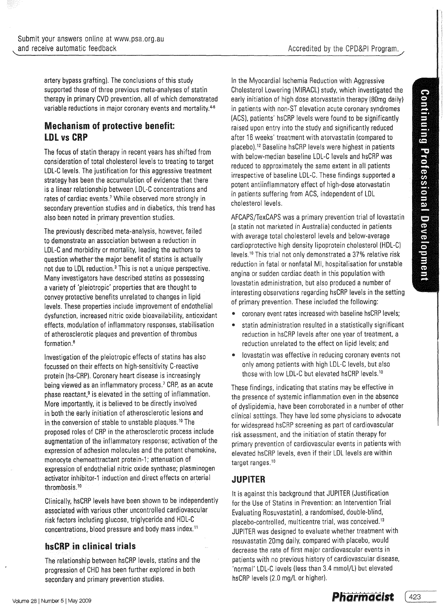Accredited by the CPD&PI Program.

artery bypass grafting). The conclusions of this study supported those of three previous meta-analyses of statin therapy in primary CVD prevention, all of which demonstrated variable reductions in major coronary events and mortality.<sup>4-6</sup>

# Mechanism of protective benefit: **LDL vs CRP**

The focus of statin therapy in recent years has shifted from consideration of total cholesterol levels to treating to target LDL-C levels. The justification for this aggressive treatment strategy has been the accumulation of evidence that there is a linear relationship between LDL-C concentrations and rates of cardiac events.<sup>7</sup> While observed more strongly in secondary prevention studies and in diabetics, this trend has also been noted in primary prevention studies.

The previously described meta-analysis, however, failed to demonstrate an association between a reduction in LDL-C and morbidity or mortality, leading the authors to question whether the major benefit of statins is actually not due to LDL reduction.<sup>3</sup> This is not a unique perspective. Many investigators have described statins as possessing a variety of 'pleiotropic' properties that are thought to convey protective benefits unrelated to changes in lipid levels. These properties include improvement of endothelial dysfunction, increased nitric oxide bioavailability, antioxidant effects, modulation of inflammatory responses, stabilisation of atherosclerotic plaques and prevention of thrombus formation.<sup>8</sup>

Investigation of the pleiotropic effects of statins has also focussed on their effects on high-sensitivity C-reactive protein (hs-CRP). Coronary heart disease is increasingly being viewed as an inflammatory process.<sup>7</sup> CRP, as an acute phase reactant,<sup>9</sup> is elevated in the setting of inflammation. More importantly, it is believed to be directly involved in both the early initiation of atherosclerotic lesions and in the conversion of stable to unstable plaques.<sup>10</sup> The proposed roles of CRP in the atherosclerotic process include augmentation of the inflammatory response; activation of the expression of adhesion molecules and the potent chemokine, monocyte chemoattractant protein-1; attenuation of expression of endothelial nitric oxide synthase; plasminogen activator inhibitor-1 induction and direct effects on arterial thrombosis.<sup>10</sup>

Clinically, hsCRP levels have been shown to be independently associated with various other uncontrolled cardiovascular risk factors including glucose, triglyceride and HDL-C concentrations, blood pressure and body mass index. <sup>11</sup>

# hsCRP in clinical trials

The relationship between hsCRP levels, statins and the progression of CHD has been further explored in both secondary and primary prevention studies.

In the Myocardial Ischemia Reduction with Aggressive Cholesterol Lowering (MIRACL) study, which investigated the early initiation of high dose atorvastatin therapy (BOmg daily) in patients with non-ST elevation acute coronary syndromes (ACS). patients' hsCRP levels were found to be significantly raised upon entry into the study and significantly reduced after 16 weeks' treatment with atorvastatin (compared to placebo).12 Baseline hsCRP levels were highest in patients with below-median baseline LDL-C levels and hsCRP was reduced to approximately the same extent in all patients irrespective of baseline LDL-C. These findings supported a potent antiinflammatory effect of high-dose atorvastatin in patients suffering from ACS, independent of LDL cholesterol levels.

AFCAPS/TexCAPS was a primary prevention trial of lovastatin (a statin not marketed in Australia) conducted in patients with average total cholesterol levels and below-average cardioprotective high density lipoprotein cholesterol (HDL-C) levels.<sup>10</sup> This trial not only demonstrated a 37% relative risk reduction in fatal or nonfatal MI, hospitalisation for unstable angina or sudden cardiac death in this population with lovastatin administration, but also produced a number of interesting observations regarding hsCRP levels in the setting of primary prevention. These included the following:

- coronary event rates increased with baseline hsCRP levels;
- statin administration resulted in a statistically significant reduction in hsCRP levels after one year of treatment, a reduction unrelated to the effect on lipid levels; and
- .. lovastatin was effective in reducing coronary events not only among patients with high LDL-C levels, but also those with low LDL-C but elevated hsCRP levels. <sup>10</sup>

These findings, indicating that statins may be effective in the presence of systemic inflammation even in the absence of dyslipidemia, have been corroborated in a number of other clinical settings. They have led some physicians to advocate for widespread hsCRP screening as part of cardiovascular risk assessment. and the initiation of statin therapy for primary prevention of cardiovascular events in patients with elevated hsCRP levels, even if their LDL levels are within target ranges.<sup>10</sup>

# JUPITER

It is against this background that JUPITER (Justification for the Use of Statins in Prevention: an Intervention Trial Evaluating Rosuvastatin). a randomised, double-blind, placebo-controlled, multicentre trial, was conceived.<sup>13</sup> JUPITER was designed to evaluate whether treatment with rosuvastatin 20mg daily, compared with placebo, would decrease the rate of first major cardiovascular events in patients with no previous history of cardiovascular disease, 'normal' LDL-C levels (less than 3.4 mmol/L) but elevated hsCRP levels (2.0 mg/L or higher).

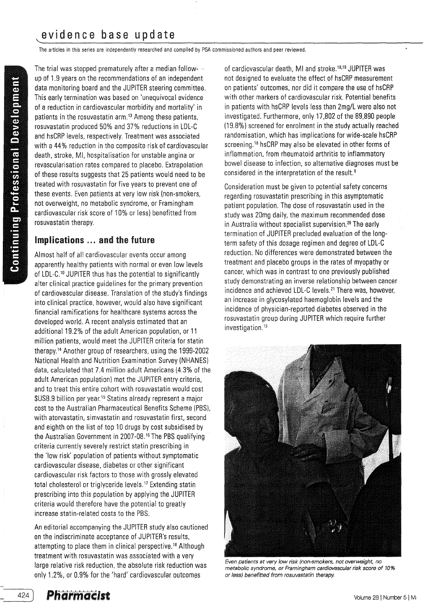The articles in this series are independently researched and compiled by PSA commissioned authors and peer reviewed.

The trial was stopped prematurely after a median followup of 1.9 years on the recommendations of an independent data monitoring board and the JUPITER steering committee. This early termination was based on 'unequivocal evidence of a reduction in cardiovascular morbidity and mortality' in patients in the rosuvastatin arm, $13$  Among these patients, rosuvastatin produced 50% and 37% reductions in LDL-C and hsCRP levels, respectively. Treatment was associated with a 44% reduction in the composite risk of cardiovascular death, stroke, MI. hospitalisation for unstable angina or revascularisation rates compared to placebo. Extrapolation of these results suggests that 25 patients would need to be treated with rosuvastatin for five years to prevent one of these events. Even patients at very low risk (non-smokers, not overweight, no metabolic syndrome, or Framingham cardiovascular risk score of 10% or less) benefitted from rosuvastatin therapy.

# Implications ... and the future

Almost half of all cardiovascular events occur among apparently healthy patients with normal or even low levels of LDL-C.<sup>10</sup> JUPITER thus has the potential to significantly alter clinical practice guidelines for the primary prevention of cardiovascular disease. Translation of the study's findings into clinical practice, however, would also have significant financial ramifications for healthcare systems across the developed world. A recent analysis estimated that an additional 19.2% of the adult American population, or 11 million patients, would meet the JUPITER criteria for statin therapy.14 Another group of researchers, using the 1999-2002 National Health and Nutrition Examination Survey (NHANES) data, calculated that 7.4 million adult Americans (4.3% of the adult American population) met the JUPITER entry criteria, and to treat this entire cohort with rosuvastatin would cost \$US8.9 billion per year.15 Statins already represent a major cost to the Australian Pharmaceutical Benefits Scheme (PBS). with atorvastatin, simvastatin and rosuvastatin first, second and eighth on the list of top 10 drugs by cost subsidised by the Australian Government in 2007-08.<sup>16</sup> The PBS qualifying criteria currently severely restrict statin prescribing in the 'low risk' population of patients without symptomatic cardiovascular disease, diabetes or other significant cardiovascular risk factors to those with grossly elevated total cholesterol or triglyceride levels. 17 Extending statin prescribing into this population by applying the JUPITER criteria would therefore have the potential to greatly increase statin-related costs to the PBS.

An editorial accompanying the JUPITER study also cautioned on the indiscriminate acceptance of JUPITER's results, attempting to place them in clinical perspective.<sup>18</sup> Although treatment with rosuvastatin was associated with a very large relative risk reduction, the absolute risk reduction was only 1.2%, or 0.9% for the 'hard' cardiovascular outcomes

of cardiovascular death, MI and stroke. 18,19 JUPITER was not designed to evaluate the effect of hsCRP measurement on patients' outcomes, nor did it compare the use of hsCRP with other markers of cardiovascular risk. Potential benefits in patients with hsCRP levels less than 2mg/L were also not investigated. Furthermore, only 17,802 of the 89,890 people (19.8%) screened for enrolment in the study actually reached randomisation, which has implications for wide-scale hsCRP screening.<sup>18</sup> hsCRP may also be elevated in other forms of inflammation, from rheumatoid arthritis to inflammatory bowel disease to infection, so alternative diagnoses must be considered in the interpretation of the result.<sup>9</sup>

Consideration must be given to potential safety concerns regarding rosuvastatin prescribing in this asymptomatic patient population. The dose of rosuvastatin used in the study was 20mg daily, the maximum recommended dose in Australia without specialist supervision.<sup>20</sup> The early termination of JUPITER precluded evaluation of the longterm safety of this dosage regimen and degree of LDL-C reduction. No differences were demonstrated between the treatment and placebo groups in the rates of myopathy or cancer, which was in contrast to one previously published study demonstrating an inverse relationship between cancer incidence and achieved LDL-C levels. 21 There was, however, an increase in glycosylated haemoglobin levels and the incidence of physician-reported diabetes observed in the rosuvastatin group during JUPITER which require further investigation.<sup>13</sup>



Even patients at very low risk (non-smokers, not overweight, no metabolic syndrome, or Framingham cardiovascular risk score of 10% or less) benefitted from rosuvastatin therapy.

424 )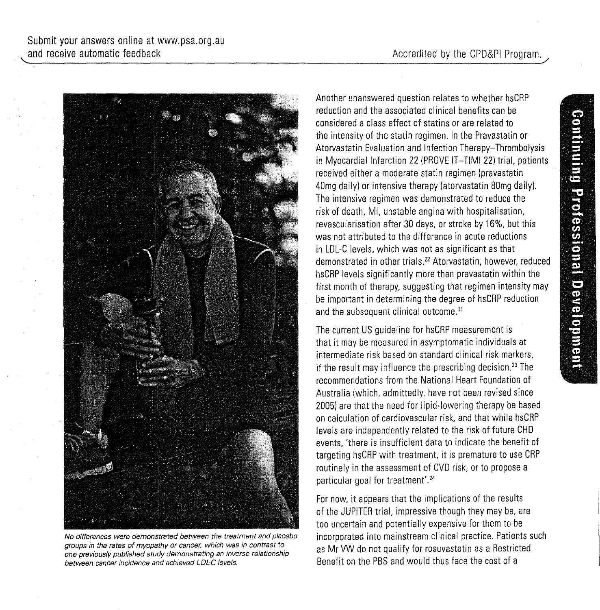

~~.--------------------------------------------------------------------~----------~--\_/

No differences were demonstrated between the treatment and placebo groups in the rates of myopathy or cancer, which was in contrast to one previously published study demonstrating an inverse relationship between cancer incidence and achieved LDL-C levels.

Another unanswered question relates to whether hsCRP reduction and the associated clinical benefits can be considered a class effect of statins or are related to the intensity of the statin regimen. In the Pravastatin or Atorvastatin Evaluation and Infection Therapy-Thrombolysis in Myocardial Infarction 22 (PROVE IT-TIMI 22) trial, patients received either a moderate statin regimen (pravastatin 40mg daily) or intensive therapy (atorvastatin Bomg daily). The intensive regimen was demonstrated to reduce the risk of death, MI, unstable angina with hospitalisation, revascularisation after 30 days, or stroke by 16%, but this was not attributed to the difference in acute reductions in LDL-C levels, which was not as significant as that demonstrated in other trials. 22 Atorvastatin, however, reduced hsCRP levels significantly more than pravastatin within the first month of therapy, suggesting that regimen intensity may be important in determining the degree of hsCRP reduction and the subsequent clinical outcome.<sup>11</sup>

The current US guideline for hsCRP measurement is that it may be measured in asymptomatic individuals at intermediate risk based on standard clinical risk markers, if the result may influence the prescribing decision.<sup>23</sup> The recommendations from the National Heart Foundation of Australia (which, admittedly, have not been revised since 2005) are that the need for lipid-lowering therapy be based on calculation of cardiovascular risk, and that while hsCRP levels are independently related to the risk of future CHD events, 'there is insufficient data to indicate the benefit of targeting hsCRP with treatment, it is premature to use CRP routinely in the assessment of CVD risk, or to propose a particular goal for treatment'.<sup>24</sup>

For now, it appears that the implications of the results of the JUPITER trial, impressive though they may be, are too uncertain and potentially expensive for them to be incorporated into mainstream clinical practice. Patients such as Mr VW do not qualify for rosuvastatin as a Restricted Benefit on the PBS and would thus face the cost of a